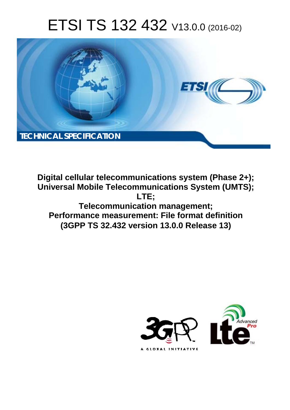# ETSI TS 132 432 V13.0.0 (2016-02)



**Digital cellular telecommunications system (Phase 2+); Universal Mobile Tel elecommunications System ( (UMTS); Telecomm munication management; Performance measurement: File format definition (3GPP TS 32.4 .432 version 13.0.0 Release 13 13) LTE;** 

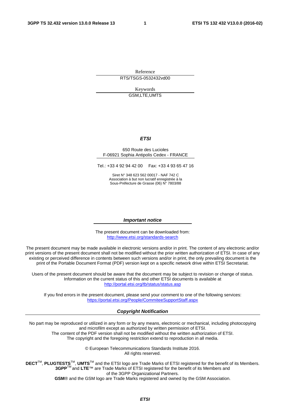Reference RTS/TSGS-0532432vd00

> Keywords GSM,LTE,UMTS

#### *ETSI*

#### 650 Route des Lucioles F-06921 Sophia Antipolis Cedex - FRANCE

Tel.: +33 4 92 94 42 00 Fax: +33 4 93 65 47 16

Siret N° 348 623 562 00017 - NAF 742 C Association à but non lucratif enregistrée à la Sous-Préfecture de Grasse (06) N° 7803/88

#### *Important notice*

The present document can be downloaded from: <http://www.etsi.org/standards-search>

The present document may be made available in electronic versions and/or in print. The content of any electronic and/or print versions of the present document shall not be modified without the prior written authorization of ETSI. In case of any existing or perceived difference in contents between such versions and/or in print, the only prevailing document is the print of the Portable Document Format (PDF) version kept on a specific network drive within ETSI Secretariat.

Users of the present document should be aware that the document may be subject to revision or change of status. Information on the current status of this and other ETSI documents is available at <http://portal.etsi.org/tb/status/status.asp>

If you find errors in the present document, please send your comment to one of the following services: <https://portal.etsi.org/People/CommiteeSupportStaff.aspx>

#### *Copyright Notification*

No part may be reproduced or utilized in any form or by any means, electronic or mechanical, including photocopying and microfilm except as authorized by written permission of ETSI.

The content of the PDF version shall not be modified without the written authorization of ETSI. The copyright and the foregoing restriction extend to reproduction in all media.

> © European Telecommunications Standards Institute 2016. All rights reserved.

**DECT**TM, **PLUGTESTS**TM, **UMTS**TM and the ETSI logo are Trade Marks of ETSI registered for the benefit of its Members. **3GPP**TM and **LTE**™ are Trade Marks of ETSI registered for the benefit of its Members and of the 3GPP Organizational Partners.

**GSM**® and the GSM logo are Trade Marks registered and owned by the GSM Association.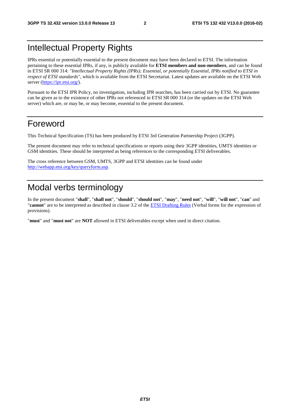# Intellectual Property Rights

IPRs essential or potentially essential to the present document may have been declared to ETSI. The information pertaining to these essential IPRs, if any, is publicly available for **ETSI members and non-members**, and can be found in ETSI SR 000 314: *"Intellectual Property Rights (IPRs); Essential, or potentially Essential, IPRs notified to ETSI in respect of ETSI standards"*, which is available from the ETSI Secretariat. Latest updates are available on the ETSI Web server ([https://ipr.etsi.org/\)](https://ipr.etsi.org/).

Pursuant to the ETSI IPR Policy, no investigation, including IPR searches, has been carried out by ETSI. No guarantee can be given as to the existence of other IPRs not referenced in ETSI SR 000 314 (or the updates on the ETSI Web server) which are, or may be, or may become, essential to the present document.

### Foreword

This Technical Specification (TS) has been produced by ETSI 3rd Generation Partnership Project (3GPP).

The present document may refer to technical specifications or reports using their 3GPP identities, UMTS identities or GSM identities. These should be interpreted as being references to the corresponding ETSI deliverables.

The cross reference between GSM, UMTS, 3GPP and ETSI identities can be found under [http://webapp.etsi.org/key/queryform.asp.](http://webapp.etsi.org/key/queryform.asp)

# Modal verbs terminology

In the present document "**shall**", "**shall not**", "**should**", "**should not**", "**may**", "**need not**", "**will**", "**will not**", "**can**" and "**cannot**" are to be interpreted as described in clause 3.2 of the [ETSI Drafting Rules](http://portal.etsi.org/Help/editHelp!/Howtostart/ETSIDraftingRules.aspx) (Verbal forms for the expression of provisions).

"**must**" and "**must not**" are **NOT** allowed in ETSI deliverables except when used in direct citation.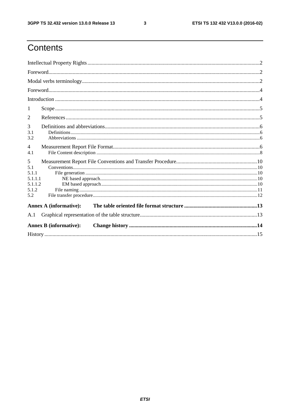$\mathbf{3}$ 

# Contents

| 1                                                       |                               |  |
|---------------------------------------------------------|-------------------------------|--|
| $\overline{2}$                                          |                               |  |
| 3<br>3.1<br>3.2                                         |                               |  |
| $\overline{4}$<br>4.1                                   |                               |  |
| 5<br>5.1<br>5.1.1<br>5.1.1.1<br>5.1.1.2<br>5.1.2<br>5.2 |                               |  |
|                                                         | <b>Annex A (informative):</b> |  |
| A.1                                                     |                               |  |
|                                                         | <b>Annex B</b> (informative): |  |
|                                                         |                               |  |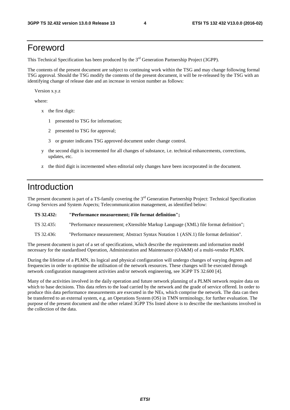### Foreword

This Technical Specification has been produced by the 3<sup>rd</sup> Generation Partnership Project (3GPP).

The contents of the present document are subject to continuing work within the TSG and may change following formal TSG approval. Should the TSG modify the contents of the present document, it will be re-released by the TSG with an identifying change of release date and an increase in version number as follows:

Version x.y.z

where:

- x the first digit:
	- 1 presented to TSG for information;
	- 2 presented to TSG for approval;
	- 3 or greater indicates TSG approved document under change control.
- y the second digit is incremented for all changes of substance, i.e. technical enhancements, corrections, updates, etc.
- z the third digit is incremented when editorial only changes have been incorporated in the document.

### Introduction

The present document is part of a TS-family covering the 3<sup>rd</sup> Generation Partnership Project: Technical Specification Group Services and System Aspects; Telecommunication management, as identified below:

| TS 32.432: | "Performance measurement; File format definition"; |  |
|------------|----------------------------------------------------|--|
|------------|----------------------------------------------------|--|

TS 32.435: "Performance measurement; eXtensible Markup Language (XML) file format definition";

TS 32.436: "Performance measurement; Abstract Syntax Notation 1 (ASN.1) file format definition".

The present document is part of a set of specifications, which describe the requirements and information model necessary for the standardised Operation, Administration and Maintenance (OA&M) of a multi-vendor PLMN.

During the lifetime of a PLMN, its logical and physical configuration will undergo changes of varying degrees and frequencies in order to optimise the utilisation of the network resources. These changes will be executed through network configuration management activities and/or network engineering, see 3GPP TS 32.600 [4].

Many of the activities involved in the daily operation and future network planning of a PLMN network require data on which to base decisions. This data refers to the load carried by the network and the grade of service offered. In order to produce this data performance measurements are executed in the NEs, which comprise the network. The data can then be transferred to an external system, e.g. an Operations System (OS) in TMN terminology, for further evaluation. The purpose of the present document and the other related 3GPP TSs listed above is to describe the mechanisms involved in the collection of the data.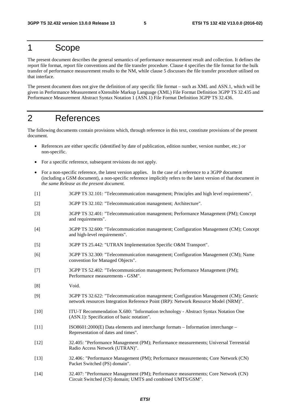### 1 Scope

The present document describes the general semantics of performance measurement result and collection. It defines the report file format, report file conventions and the file transfer procedure. Clause 4 specifies the file format for the bulk transfer of performance measurement results to the NM, while clause 5 discusses the file transfer procedure utilised on that interface.

The present document does not give the definition of any specific file format – such as XML and ASN.1, which will be given in Performance Measurement eXtensible Markup Language (XML) File Format Definition 3GPP TS 32.435 and Performance Measurement Abstract Syntax Notation 1 (ASN.1) File Format Definition 3GPP TS 32.436.

# 2 References

The following documents contain provisions which, through reference in this text, constitute provisions of the present document.

- References are either specific (identified by date of publication, edition number, version number, etc.) or non-specific.
- For a specific reference, subsequent revisions do not apply.
- For a non-specific reference, the latest version applies. In the case of a reference to a 3GPP document (including a GSM document), a non-specific reference implicitly refers to the latest version of that document *in the same Release as the present document*.
- [1] 3GPP TS 32.101: "Telecommunication management; Principles and high level requirements".
- [2] 3GPP TS 32.102: "Telecommunication management; Architecture".
- [3] 3GPP TS 32.401: "Telecommunication management; Performance Management (PM); Concept and requirements".
- [4] 3GPP TS 32.600: "Telecommunication management; Configuration Management (CM); Concept and high-level requirements".
- [5] 3GPP TS 25.442: "UTRAN Implementation Specific O&M Transport".
- [6] 3GPP TS 32.300: "Telecommunication management; Configuration Management (CM); Name convention for Managed Objects".
- [7] 3GPP TS 52.402: "Telecommunication management; Performance Management (PM); Performance measurements - GSM".
- [8] Void.
- [9] 3GPP TS 32.622: "Telecommunication management; Configuration Management (CM); Generic network resources Integration Reference Point (IRP): Network Resource Model (NRM)".
- [10] ITU-T Recommendation X.680: "Information technology Abstract Syntax Notation One (ASN.1): Specification of basic notation".
- [11] ISO8601:2000(E) Data elements and interchange formats Information interchange Representation of dates and times".
- [12] 32.405: "Performance Management (PM); Performance measurements; Universal Terrestrial Radio Access Network (UTRAN)".
- [13] 32.406 : "Performance Management (PM); Performance measurements; Core Network (CN) Packet Switched (PS) domain".
- [14] 32.407: "Performance Management (PM); Performance measurements; Core Network (CN) Circuit Switched (CS) domain; UMTS and combined UMTS/GSM".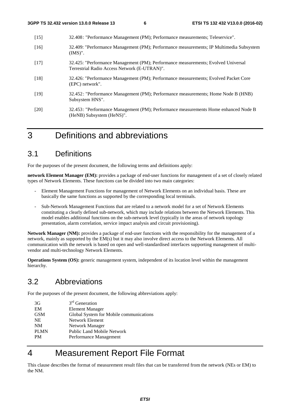| $[15]$ | 32.408: "Performance Management (PM); Performance measurements; Teleservice".                                                     |
|--------|-----------------------------------------------------------------------------------------------------------------------------------|
| $[16]$ | 32.409: "Performance Management (PM); Performance measurements; IP Multimedia Subsystem<br>$(IMS)$ ".                             |
| $[17]$ | 32.425: "Performance Management (PM); Performance measurements; Evolved Universal<br>Terrestrial Radio Access Network (E-UTRAN)". |
| $[18]$ | 32.426: "Performance Management (PM); Performance measurements; Evolved Packet Core<br>(EPC) network".                            |
| [19]   | 32.452: "Performance Management (PM); Performance measurements; Home Node B (HNB)<br>Subsystem HNS".                              |
| [20]   | 32.453: "Performance Management (PM); Performance measurements Home enhanced Node B<br>(HeNB) Subsystem (HeNS)".                  |
|        |                                                                                                                                   |

# 3 Definitions and abbreviations

# 3.1 Definitions

For the purposes of the present document, the following terms and definitions apply:

**network Element Manager (EM):** provides a package of end-user functions for management of a set of closely related types of Network Elements. These functions can be divided into two main categories:

- Element Management Functions for management of Network Elements on an individual basis. These are basically the same functions as supported by the corresponding local terminals.
- Sub-Network Management Functions that are related to a network model for a set of Network Elements constituting a clearly defined sub-network, which may include relations between the Network Elements. This model enables additional functions on the sub-network level (typically in the areas of network topology presentation, alarm correlation, service impact analysis and circuit provisioning).

**Network Manager (NM):** provides a package of end-user functions with the responsibility for the management of a network, mainly as supported by the EM(s) but it may also involve direct access to the Network Elements. All communication with the network is based on open and well-standardised interfaces supporting management of multivendor and multi-technology Network Elements.

**Operations System (OS):** generic management system, independent of its location level within the management hierarchy.

# 3.2 Abbreviations

For the purposes of the present document, the following abbreviations apply:

| 3G          | $3rd$ Generation                        |
|-------------|-----------------------------------------|
| EM          | <b>Element Manager</b>                  |
| <b>GSM</b>  | Global System for Mobile communications |
| <b>NE</b>   | Network Element                         |
| <b>NM</b>   | Network Manager                         |
| <b>PLMN</b> | <b>Public Land Mobile Network</b>       |
| <b>PM</b>   | Performance Management                  |

# 4 Measurement Report File Format

This clause describes the format of measurement result files that can be transferred from the network (NEs or EM) to the NM.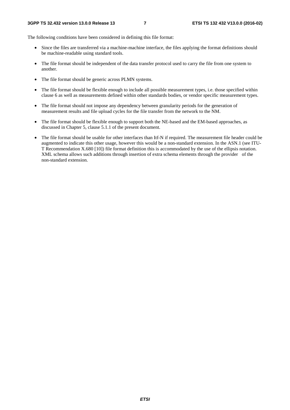The following conditions have been considered in defining this file format:

- Since the files are transferred via a machine-machine interface, the files applying the format definitions should be machine-readable using standard tools.
- The file format should be independent of the data transfer protocol used to carry the file from one system to another.
- The file format should be generic across PLMN systems.
- The file format should be flexible enough to include all possible measurement types, i.e. those specified within clause 6 as well as measurements defined within other standards bodies, or vendor specific measurement types.
- The file format should not impose any dependency between granularity periods for the generation of measurement results and file upload cycles for the file transfer from the network to the NM.
- The file format should be flexible enough to support both the NE-based and the EM-based approaches, as discussed in Chapter 5, clause 5.1.1 of the present document.
- The file format should be usable for other interfaces than Itf-N if required. The measurement file header could be augmented to indicate this other usage, however this would be a non-standard extension. In the ASN.1 (see ITU-T Recommendation X.680 [10]) file format definition this is accommodated by the use of the ellipsis notation. XML schema allows such additions through insertion of extra schema elements through the provider of the non-standard extension.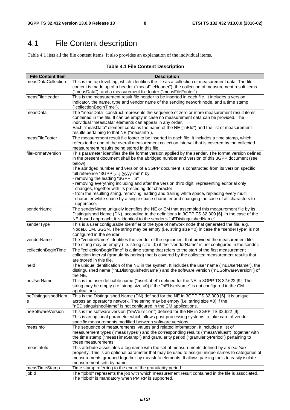# 4.1 File Content description

Table 4.1 lists all the file content items. It also provides an explanation of the individual items.

#### **Table 4.1 File Content Description**

| <b>File Content Item</b> | <b>Description</b>                                                                                                                                                                                                                                                                                                                                                                                                                                                                                                                                                                                                                                                                                                                                          |
|--------------------------|-------------------------------------------------------------------------------------------------------------------------------------------------------------------------------------------------------------------------------------------------------------------------------------------------------------------------------------------------------------------------------------------------------------------------------------------------------------------------------------------------------------------------------------------------------------------------------------------------------------------------------------------------------------------------------------------------------------------------------------------------------------|
| measDataCollection       | This is the top-level tag, which identifies the file as a collection of measurement data. The file<br>content is made up of a header ("measFileHeader"), the collection of measurement result items<br>("measData"), and a measurement file footer ("measFileFooter").                                                                                                                                                                                                                                                                                                                                                                                                                                                                                      |
| measFileHeader           | This is the measurement result file header to be inserted in each file. It includes a version<br>indicator, the name, type and vendor name of the sending network node, and a time stamp<br>("collectionBeginTime").                                                                                                                                                                                                                                                                                                                                                                                                                                                                                                                                        |
| measData                 | The "measData" construct represents the sequence of zero or more measurement result items<br>contained in the file. It can be empty in case no measurement data can be provided. The<br>individual "measData" elements can appear in any order.<br>Each "measData" element contains the name of the NE ("nEld") and the list of measurement<br>results pertaining to that NE ("measInfo").                                                                                                                                                                                                                                                                                                                                                                  |
| measFileFooter           | The measurement result file footer to be inserted in each file. It includes a time stamp, which<br>refers to the end of the overall measurement collection interval that is covered by the collected<br>measurement results being stored in this file.                                                                                                                                                                                                                                                                                                                                                                                                                                                                                                      |
| fileFormatVersion        | This parameter identifies the file format version applied by the sender. The format version defined<br>in the present document shall be the abridged number and version of this 3GPP document (see<br>below).<br>The abridged number and version of a 3GPP document is constructed from its version specific<br>full reference "3GPP [] (yyyy-mm)" by:<br>removing the leading "3GPP TS"<br>removing everything including and after the version third digit, representing editorial only<br>changes, together with its preceding dot character<br>from the resulting string, removing leading and trailing white space, replacing every multi<br>character white space by a single space character and changing the case of all characters to<br>uppercase. |
| senderName               | The senderName uniquely identifies the NE or EM that assembled this measurement file by its<br>Distinguished Name (DN), according to the definitions in 3GPP TS 32.300 [6]. In the case of the<br>NE-based approach, it is identical to the sender's "nEDistinguishedName".                                                                                                                                                                                                                                                                                                                                                                                                                                                                                 |
| senderType               | This is a user configurable identifier of the type of network node that generated the file, e.g.<br>NodeB, EM, SGSN. The string may be empty (i.e. string size =0) in case the "senderType" is not<br>configured in the sender.                                                                                                                                                                                                                                                                                                                                                                                                                                                                                                                             |
| vendorName               | The "vendorName" identifies the vendor of the equipment that provided the measurement file.<br>The string may be empty (i.e. string size =0) if the "vendorName" is not configured in the sender.                                                                                                                                                                                                                                                                                                                                                                                                                                                                                                                                                           |
| collectionBeginTime      | The "collectionBeginTime" is a time stamp that refers to the start of the first measurement<br>collection interval (granularity period) that is covered by the collected measurement results that<br>are stored in this file.                                                                                                                                                                                                                                                                                                                                                                                                                                                                                                                               |
| neld                     | The unique identification of the NE in the system. It includes the user name ("nEUserName"), the<br>distinguished name ("nEDistinguishedName") and the software version ("nESoftwareVersion") of<br>the NE.                                                                                                                                                                                                                                                                                                                                                                                                                                                                                                                                                 |
| neUserName               | This is the user definable name ("userLabel") defined for the NE in 3GPP TS 32.622 [9]. The<br>string may be empty (i.e. string size =0) if the "nEUserName" is not configured in the CM<br>applications.                                                                                                                                                                                                                                                                                                                                                                                                                                                                                                                                                   |
| neDistinguishedNam<br>е  | This is the Distinguished Name (DN) defined for the NE in 3GPP TS 32.300 [6]. It is unique<br>across an operator's network. The string may be empty (i.e. string size =0) if the<br>"nEDistinguishedName" is not configured in the CM applications.                                                                                                                                                                                                                                                                                                                                                                                                                                                                                                         |
| neSoftwareVersion        | This is the software version ("swVersion") defined for the NE in 3GPP TS 32.622 [9].<br>This is an optional parameter which allows post-processing systems to take care of vendor<br>specific measurements modified between software versions.                                                                                                                                                                                                                                                                                                                                                                                                                                                                                                              |
| measInfo                 | The sequence of measurements, values and related information. It includes a list of<br>measurement types ("measTypes") and the corresponding results ("measValues"), together with<br>the time stamp ("measTimeStamp") and granularity period ("granularityPeriod") pertaining to<br>these measurements.                                                                                                                                                                                                                                                                                                                                                                                                                                                    |
| measInfold               | This attribute associates a tag name with the set of measurements defined by a measInfo<br>property. This is an optional parameter that may be used to assign unique names to categories of<br>measurements grouped together by measInfo elements. It allows parsing tools to easily isolate<br>measurement sets by name.                                                                                                                                                                                                                                                                                                                                                                                                                                   |
| measTimeStamp            | Time stamp referring to the end of the granularity period.                                                                                                                                                                                                                                                                                                                                                                                                                                                                                                                                                                                                                                                                                                  |
| jobld                    | The "jobld" represents the job with which measurement result contained in the file is associated.<br>The "jobld" is mandatory when PMIRP is supported.                                                                                                                                                                                                                                                                                                                                                                                                                                                                                                                                                                                                      |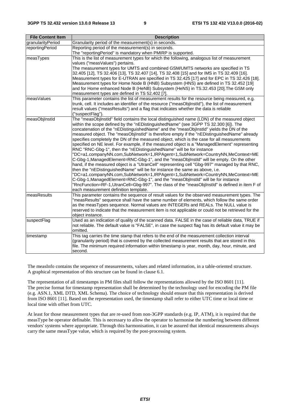| <b>File Content Item</b> | <b>Description</b>                                                                                                                                                            |  |  |  |  |
|--------------------------|-------------------------------------------------------------------------------------------------------------------------------------------------------------------------------|--|--|--|--|
| granularityPeriod        | Granularity period of the measurement(s) in seconds.                                                                                                                          |  |  |  |  |
| reportingPeriod          | Reporting period of the measurement(s) in seconds.                                                                                                                            |  |  |  |  |
|                          | The "reportingPeriod" is mandatory when PMIRP is supported.                                                                                                                   |  |  |  |  |
| measTypes                | This is the list of measurement types for which the following, analogous list of measurement                                                                                  |  |  |  |  |
|                          | values ("measValues") pertains.                                                                                                                                               |  |  |  |  |
|                          | The measurement types for UMTS and combined GSM/UMTS networks are specified in TS                                                                                             |  |  |  |  |
|                          | 32.405 [12], TS 32.406 [13], TS 32.407 [14], TS 32.408 [15] and for IMS in TS 32.409 [16].                                                                                    |  |  |  |  |
|                          | Measurement types for E-UTRAN are specified in TS 32.425 [17] and for EPC in TS 32.426 [18].                                                                                  |  |  |  |  |
|                          | Measurement types for Home Node B (HNB) Subsystem (HNS) are defined in TS 32.452 [19]                                                                                         |  |  |  |  |
|                          | and for Home enhanced Node B (HeNB) Subsystem (HeNS) in TS.32.453 [20]. The GSM only                                                                                          |  |  |  |  |
|                          | measurement types are defined in TS 52.402 [7].                                                                                                                               |  |  |  |  |
| measValues               | This parameter contains the list of measurement results for the resource being measured, e.g.                                                                                 |  |  |  |  |
|                          | trunk, cell. It includes an identifier of the resource ("measObjInstId"), the list of measurement                                                                             |  |  |  |  |
|                          | result values ("measResults") and a flag that indicates whether the data is reliable                                                                                          |  |  |  |  |
|                          | ("suspectFlag").                                                                                                                                                              |  |  |  |  |
| measObjInstId            | The "measObjInstId" field contains the local distinguished name (LDN) of the measured object                                                                                  |  |  |  |  |
|                          | within the scope defined by the "nEDistinguishedName" (see 3GPP TS 32.300 [6]). The                                                                                           |  |  |  |  |
|                          | concatenation of the "nEDistinguishedName" and the "measObjInstId" yields the DN of the                                                                                       |  |  |  |  |
|                          | measured object. The "measObjInstId" is therefore empty if the "nEDistinguishedName" already                                                                                  |  |  |  |  |
|                          | specifies completely the DN of the measured object, which is the case for all measurements                                                                                    |  |  |  |  |
|                          | specified on NE level. For example, if the measured object is a "ManagedElement" representing                                                                                 |  |  |  |  |
|                          | RNC "RNC-Gbg-1", then the "nEDistinguishedName" will be for instance                                                                                                          |  |  |  |  |
|                          | "DC=a1.companyNN.com,SubNetwork=1,IRPAgent=1,SubNetwork=CountryNN,MeContext=ME                                                                                                |  |  |  |  |
|                          | C-Gbg-1,ManagedElement=RNC-Gbg-1", and the "measObjInstId" will be empty. On the other                                                                                        |  |  |  |  |
|                          | hand, if the measured object is a "UtranCell" representing cell "Gbg-997" managed by that RNC,<br>then the "nEDistinguishedName" will be for instance the same as above, i.e. |  |  |  |  |
|                          | 'DC=a1.companyNN.com,SubNetwork=1,IRPAgent=1,SubNetwork=CountryNN,MeContext=ME                                                                                                |  |  |  |  |
|                          | C-Gbg-1, ManagedElement=RNC-Gbg-1", and the "measObjInstId" will be for instance                                                                                              |  |  |  |  |
|                          | "RncFunction=RF-1,UtranCell=Gbg-997". The class of the "measObjInstId" is defined in item F of                                                                                |  |  |  |  |
|                          | each measurement definition template.                                                                                                                                         |  |  |  |  |
| measResults              | This parameter contains the sequence of result values for the observed measurement types. The                                                                                 |  |  |  |  |
|                          | "measResults" sequence shall have the same number of elements, which follow the same order                                                                                    |  |  |  |  |
|                          | as the measTypes sequence. Normal values are INTEGERs and REALs. The NULL value is                                                                                            |  |  |  |  |
|                          | reserved to indicate that the measurement item is not applicable or could not be retrieved for the                                                                            |  |  |  |  |
|                          | object instance.                                                                                                                                                              |  |  |  |  |
| suspectFlag              | Used as an indication of quality of the scanned data. FALSE in the case of reliable data, TRUE if                                                                             |  |  |  |  |
|                          | not reliable. The default value is "FALSE", in case the suspect flag has its default value it may be                                                                          |  |  |  |  |
|                          | omitted.                                                                                                                                                                      |  |  |  |  |
| timestamp                | This tag carries the time stamp that refers to the end of the measurement collection interval                                                                                 |  |  |  |  |
|                          | (granularity period) that is covered by the collected measurement results that are stored in this                                                                             |  |  |  |  |
|                          | file. The minimum required information within timestamp is year, month, day, hour, minute, and                                                                                |  |  |  |  |
|                          | second.                                                                                                                                                                       |  |  |  |  |

The measInfo contains the sequence of measurements, values and related information, in a table-oriented structure. A graphical representation of this structure can be found in clause 6.1.

The representation of all timestamps in PM files shall follow the representations allowed by the ISO 8601 [11]. The precise format for timestamp representation shall be determined by the technology used for encoding the PM file (e.g. ASN.1, XML DTD, XML Schema). The choice of technology should ensure that this representation is derived from ISO 8601 [11]. Based on the representation used, the timestamp shall refer to either UTC time or local time or local time with offset from UTC.

At least for those measurement types that are re-used from non-3GPP standards (e.g. IP, ATM), it is required that the measType be operator definable. This is necessary to allow the operator to harmonise the numbering between different vendors' systems where appropriate. Through this harmonisation, it can be assured that identical measurements always carry the same measType value, which is required by the post-processing system.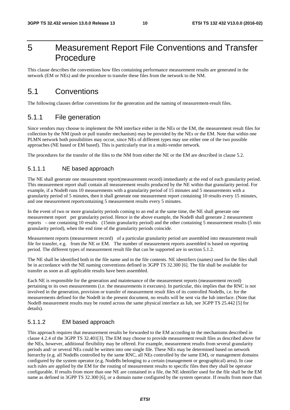# 5 Measurement Report File Conventions and Transfer Procedure

This clause describes the conventions how files containing performance measurement results are generated in the network (EM or NEs) and the procedure to transfer these files from the network to the NM.

### 5.1 Conventions

The following clauses define conventions for the generation and the naming of measurement-result files.

### 5.1.1 File generation

Since vendors may choose to implement the NM interface either in the NEs or the EM, the measurement result files for collection by the NM (push or pull transfer mechanism) may be provided by the NEs or the EM. Note that within one PLMN network both possibilities may occur, since NEs of different types may use either one of the two possible approaches (NE based or EM based). This is particularly true in a multi-vendor network.

The procedures for the transfer of the files to the NM from either the NE or the EM are described in clause 5.2.

#### 5.1.1.1 NE based approach

The NE shall generate one measurement report(measurement record) immediately at the end of each granularity period. This measurement report shall contain all measurement results produced by the NE within that granularity period. For example, if a NodeB runs 10 measurements with a granularity period of 15 minutes and 5 measurements with a granularity period of 5 minutes, then it shall generate one measurement report containing 10 results every 15 minutes, and one measurement reportcontaining 5 measurement results every 5 minutes.

In the event of two or more granularity periods coming to an end at the same time, the NE shall generate one measurement report per granularity period. Hence in the above example, the NodeB shall generate 2 measurement reports – one containing 10 results (15min granularity period) and the other containing 5 measurement results (5 min granularity period), when the end time of the granularity periods coincide.

Measurement reports (measurement record) of a particular granularity period are assembled into measurement result file for transfer, e.g. from the NE or EM. The number of measurement reports assembled is based on reporting period. The different types of measurement result file that can be supported are in section 5.1.2.

The NE shall be identified both in the file name and in the file contents. NE identifiers (names) used for the files shall be in accordance with the NE naming conventions defined in 3GPP TS 32.300 [6]. The file shall be available for transfer as soon as all applicable results have been assembled.

Each NE is responsible for the generation and maintenance of the measurement reports (measurement record) pertaining to its own measurements (i.e. the measurements it executes). In particular, this implies that the RNC is not involved in the generation, provision or transfer of measurement result files of its controlled NodeBs, i.e. for the measurements defined for the NodeB in the present document, no results will be sent via the Iub interface. (Note that NodeB measurement results may be routed across the same physical interface as Iub, see 3GPP TS 25.442 [5] for details).

#### 5.1.1.2 EM based approach

This approach requires that measurement results be forwarded to the EM according to the mechanisms described in clause 4.2.4 of the 3GPP TS 32.401[3]. The EM may choose to provide measurement result files as described above for the NEs, however, additional flexibility may be offered. For example, measurement results from several granularity periods and/ or several NEs could be written into one single file. These NEs may be determined based on network hierarchy (e.g. all NodeBs controlled by the same RNC, all NEs controlled by the same EM), or management domains configured by the system operator (e.g. NodeBs belonging to a certain (management or geographical) area). In case such rules are applied by the EM for the routing of measurement results to specific files then they shall be operator configurable. If results from more than one NE are contained in a file, the NE identifier used for the file shall be the EM name as defined in 3GPP TS 32.300 [6], or a domain name configured by the system operator. If results from more than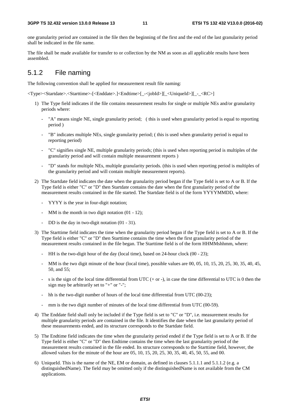one granularity period are contained in the file then the beginning of the first and the end of the last granularity period shall be indicated in the file name.

The file shall be made available for transfer to or collection by the NM as soon as all applicable results have been assembled.

### 5.1.2 File naming

The following convention shall be applied for measurement result file naming:

<Type><Startdate>.<Starttime>-[<Enddate>.]<Endtime>[\_-<jobId>][\_<UniqueId>][\_-\_<RC>]

- 1) The Type field indicates if the file contains measurement results for single or multiple NEs and/or granularity periods where:
	- "A" means single NE, single granularity period; (this is used when granularity period is equal to reporting period )
	- "B" indicates multiple NEs, single granularity period; ( this is used when granularity period is equal to reporting period)
	- "C" signifies single NE, multiple granularity periods; (this is used when reporting period is multiples of the granularity period and will contain multiple measurement reports )
	- "D" stands for multiple NEs, multiple granularity periods. (this is used when reporting period is multiples of the granularity period and will contain multiple measurement reports).
- 2) The Startdate field indicates the date when the granularity period began if the Type field is set to A or B. If the Type field is either "C" or "D" then Startdate contains the date when the first granularity period of the measurement results contained in the file started. The Startdate field is of the form YYYYMMDD, where:
	- YYYY is the year in four-digit notation;
	- MM is the month in two digit notation (01 12);
	- DD is the day in two-digit notation  $(01 31)$ .
- 3) The Starttime field indicates the time when the granularity period began if the Type field is set to A or B. If the Type field is either "C" or "D" then Starttime contains the time when the first granularity period of the measurement results contained in the file began. The Starttime field is of the form HHMMshhmm, where:
	- HH is the two-digit hour of the day (local time), based on 24-hour clock (00 23);
	- MM is the two digit minute of the hour (local time), possible values are 00, 05, 10, 15, 20, 25, 30, 35, 40, 45, 50, and 55;
	- s is the sign of the local time differential from UTC  $(+ or -)$ , in case the time differential to UTC is 0 then the sign may be arbitrarily set to "+" or "-";
	- hh is the two-digit number of hours of the local time differential from UTC (00-23);
	- mm is the two digit number of minutes of the local time differential from UTC (00-59).
- 4) The Enddate field shall only be included if the Type field is set to "C" or "D", i.e. measurement results for multiple granularity periods are contained in the file. It identifies the date when the last granularity period of these measurements ended, and its structure corresponds to the Startdate field.
- 5) The Endtime field indicates the time when the granularity period ended if the Type field is set to A or B. If the Type field is either "C" or "D" then Endtime contains the time when the last granularity period of the measurement results contained in the file ended. Its structure corresponds to the Starttime field, however, the allowed values for the minute of the hour are 05, 10, 15, 20, 25, 30, 35, 40, 45, 50, 55, and 00.
- 6) UniqueId. This is the name of the NE, EM or domain, as defined in clauses 5.1.1.1 and 5.1.1.2 (e.g. a distinguishedName). The field may be omitted only if the distinguishedName is not available from the CM applications.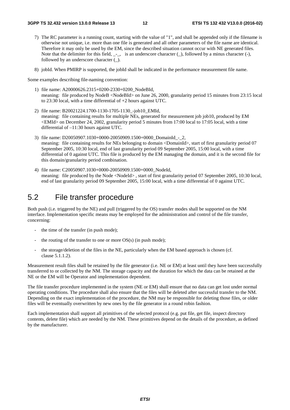- 7) The RC parameter is a running count, starting with the value of "1", and shall be appended only if the filename is otherwise not unique, i.e. more than one file is generated and all other parameters of the file name are identical. Therefore it may only be used by the EM, since the described situation cannot occur with NE generated files. Note that the delimiter for this field,  $\_$ , is an underscore character  $(.)$ , followed by a minus character  $(.)$ , followed by an underscore character (\_).
- 8) jobId. When PMIRP is supported, the jobId shall be indicated in the performance measurement file name.

Some examples describing file-naming convention:

- 1) file name: A20000626.2315+0200-2330+0200\_NodeBId, meaning: file produced by NodeB <NodeBId> on June 26, 2000, granularity period 15 minutes from 23:15 local to 23:30 local, with a time differential of +2 hours against UTC.
- 2) file name: B20021224.1700-1130-1705-1130\_-job10\_EMId, meaning: file containing results for multiple NEs, generated for measurement job job10, produced by EM <EMId> on December 24, 2002, granularity period 5 minutes from 17:00 local to 17:05 local, with a time differential of –11:30 hours against UTC.
- 3) file name: D20050907.1030+0000-20050909.1500+0000\_DomainId\_-\_2, meaning: file containing results for NEs belonging to domain <DomainId>, start of first granularity period 07 September 2005, 10:30 local, end of last granularity period 09 September 2005, 15:00 local, with a time differential of 0 against UTC. This file is produced by the EM managing the domain, and it is the second file for this domain/granularity period combination.
- 4) file name: C20050907.1030+0000-20050909.1500+0000\_NodeId, meaning: file produced by the Node <NodeId>, start of first granularity period 07 September 2005, 10:30 local, end of last granularity period 09 September 2005, 15:00 local, with a time differential of 0 against UTC.

### 5.2 File transfer procedure

Both push (i.e. triggered by the NE) and pull (triggered by the OS) transfer modes shall be supported on the NM interface. Implementation specific means may be employed for the administration and control of the file transfer, concerning:

- the time of the transfer (in push mode);
- the routing of the transfer to one or more  $OS(s)$  (in push mode);
- the storage/deletion of the files in the NE, particularly when the EM based approach is chosen (cf. clause 5.1.1.2).

Measurement result files shall be retained by the file generator (i.e. NE or EM) at least until they have been successfully transferred to or collected by the NM. The storage capacity and the duration for which the data can be retained at the NE or the EM will be Operator and implementation dependent.

The file transfer procedure implemented in the system (NE or EM) shall ensure that no data can get lost under normal operating conditions. The procedure shall also ensure that the files will be deleted after successful transfer to the NM. Depending on the exact implementation of the procedure, the NM may be responsible for deleting those files, or older files will be eventually overwritten by new ones by the file generator in a round robin fashion.

Each implementation shall support all primitives of the selected protocol (e.g. put file, get file, inspect directory contents, delete file) which are needed by the NM. These primitives depend on the details of the procedure, as defined by the manufacturer.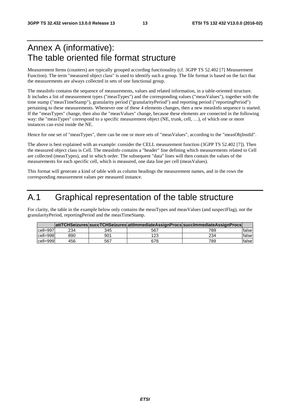# Annex A (informative): The table oriented file format structure

Measurement Items (counters) are typically grouped according functionality (cf. 3GPP TS 52.402 [7] Measurement Function). The term "measured object class" is used to identify such a group. The file format is based on the fact that the measurements are always collected in sets of one functional group.

The measInfo contains the sequence of measurements, values and related information, in a table-oriented structure. It includes a list of measurement types ("measTypes") and the corresponding values ("measValues"), together with the time stamp ("measTimeStamp"), granularity period ("granularityPeriod") and reporting period ("reportingPeriod") pertaining to these measurements. Whenever one of these 4 elements changes, then a new measInfo sequence is started. If the "measTypes" change, then also the "measValues" change, because these elements are connected in the following way: the "measTypes" correspond to a specific measurement object (NE, trunk, cell, …), of which one or more instances can exist inside the NE.

Hence for one set of "measTypes", there can be one or more sets of "measValues", according to the "measObjInstId".

The above is best explained with an example: consider the CELL measurement function (3GPP TS 52.402 [7]). Then the measured object class is Cell. The measInfo contains a "header" line defining which measurements related to Cell are collected (measTypes), and in which order. The subsequent "data" lines will then contain the values of the measurements for each specific cell, which is measured, one data line per cell (measValues).

This format will generate a kind of table with as column headings the measurement names, and in the rows the corresponding measurement values per measured instance.

# A.1 Graphical representation of the table structure

For clarity, the table in the example below only contains the measTypes and measValues (and suspectFlag), not the granularityPeriod, reportingPeriod and the measTimeStamp.

|            |     |     |     | attTCHSeizures succTCHSeizures attImmediateAssignProcs succImmediateAssignProcs |        |
|------------|-----|-----|-----|---------------------------------------------------------------------------------|--------|
| lcell=997l | 234 | 345 | 567 | 789                                                                             | falsel |
| cell=998   | 890 | 901 | 123 | 234                                                                             | falsel |
| cell=999   | 456 | 567 | 678 | 789                                                                             | falsel |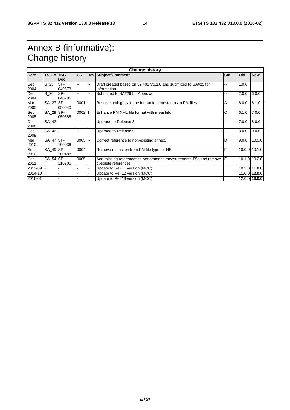# Annex B (informative): Change history

| <b>Change history</b> |                  |        |           |    |                                                                       |    |       |               |
|-----------------------|------------------|--------|-----------|----|-----------------------------------------------------------------------|----|-------|---------------|
| <b>Date</b>           | <b>TSG # TSG</b> |        | <b>CR</b> |    | <b>Rev Subject/Comment</b><br>Cat                                     |    | Old   | <b>New</b>    |
|                       |                  | Doc.   |           |    |                                                                       |    |       |               |
| Sep                   | S 25             | SP-    | --        | -- | Draft created based on 32.401 V6.1.0 and submitted to SA#25 for       | -- | 1.0.0 |               |
| 2004                  |                  | 040578 |           |    | Information                                                           |    |       |               |
| Dec                   | $S_2$            | SP-    | --        | -- | Submitted to SA#26 for Approval                                       | -- | 2.0.0 | 6.0.0         |
| 2004                  |                  | 040786 |           |    |                                                                       |    |       |               |
| Mar                   | SA 27 SP-        |        | $0001$ -- |    | Resolve ambiguity in the format for timestamps in PM files            | Α  | 6.0.0 | 6.1.0         |
| 2005                  |                  | 050040 |           |    |                                                                       |    |       |               |
| Sep                   | SA_29 SP-        |        | 00021     |    | Enhance PM XML file format with measinfo                              | C  | 6.1.0 | 7.0.0         |
| 2005                  |                  | 050585 |           |    |                                                                       |    |       |               |
| Dec                   | $SA$ 42 $-$      |        | --        | -- | Upgrade to Release 8                                                  | -- | 7.0.0 | 8.0.0         |
| 2008                  |                  |        |           |    |                                                                       |    |       |               |
| Dec                   | $SA_46$ --       |        | --        | -- | Upgrade to Release 9                                                  | -- | 8.0.0 | 9.0.0         |
| 2009                  |                  |        |           |    |                                                                       |    |       |               |
| Mar                   | SA_47 SP-        |        | $0003$ -- |    | Correct reference to non-existing annex.                              | D  | 9.0.0 | 10.0.0        |
| 2010                  |                  | 100036 |           |    |                                                                       |    |       |               |
| Sep                   | SA 49 SP-        |        | $0004$ -- |    | Remove restriction from PM file type for NE                           | F  |       | 10.0.0 10.1.0 |
| 2010                  |                  | 100488 |           |    |                                                                       |    |       |               |
| Dec                   | SA 54 SP-        |        | $0005$ -- |    | Add missing references to performance measurements TSs and remove   F |    |       | 10.1.0 10.2.0 |
| 2011                  |                  | 110706 |           |    | obsolete references                                                   |    |       |               |
| 2012-09               |                  |        |           |    | Update to Rel-11 version (MCC)                                        |    |       | 10.2.0 11.0.0 |
| 2014-10               |                  |        |           |    | Update to Rel-12 version (MCC)                                        |    |       | 11.0.0 12.0.0 |
| 2016-01               |                  |        |           |    | Update to Rel-13 version (MCC)                                        |    |       | 12.0.0 13.0.0 |